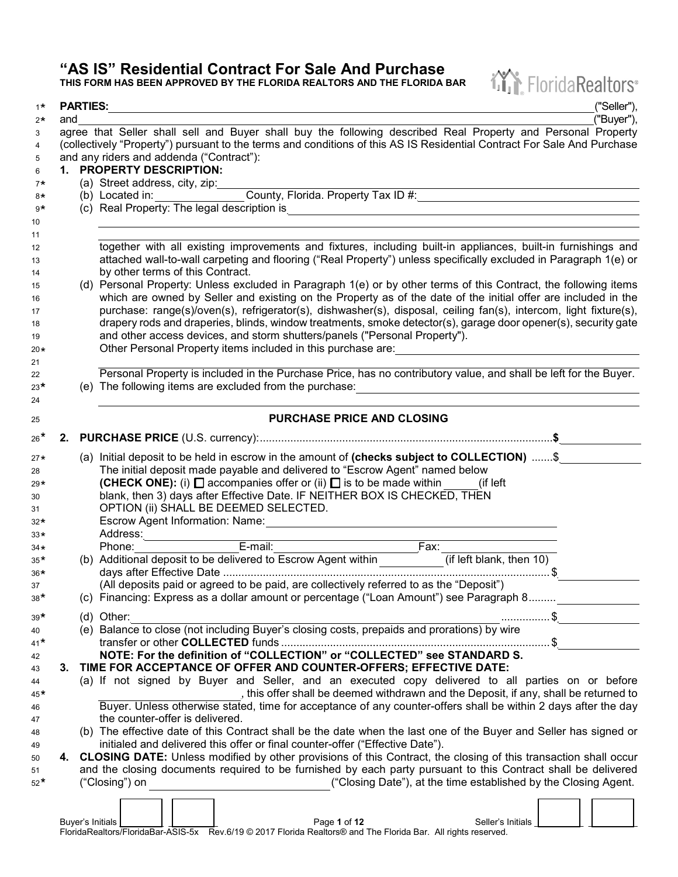**"AS IS" Residential Contract For Sale And Purchase THIS FORM HAS BEEN APPROVED BY THE FLORIDA REALTORS AND THE FLORIDA BAR**

**MAN** Florida Realtors®

|     | <b>PARTIES:</b> | ("Seller"),<br>("Buyer"),                                                                                                                                                                                                                                                                                                                                                         |
|-----|-----------------|-----------------------------------------------------------------------------------------------------------------------------------------------------------------------------------------------------------------------------------------------------------------------------------------------------------------------------------------------------------------------------------|
| and |                 | agree that Seller shall sell and Buyer shall buy the following described Real Property and Personal Property                                                                                                                                                                                                                                                                      |
|     |                 | (collectively "Property") pursuant to the terms and conditions of this AS IS Residential Contract For Sale And Purchase<br>and any riders and addenda ("Contract"):                                                                                                                                                                                                               |
|     |                 | 1. PROPERTY DESCRIPTION:                                                                                                                                                                                                                                                                                                                                                          |
|     |                 |                                                                                                                                                                                                                                                                                                                                                                                   |
|     |                 |                                                                                                                                                                                                                                                                                                                                                                                   |
|     |                 |                                                                                                                                                                                                                                                                                                                                                                                   |
|     |                 | together with all existing improvements and fixtures, including built-in appliances, built-in furnishings and                                                                                                                                                                                                                                                                     |
|     |                 | attached wall-to-wall carpeting and flooring ("Real Property") unless specifically excluded in Paragraph 1(e) or<br>by other terms of this Contract.                                                                                                                                                                                                                              |
|     |                 | (d) Personal Property: Unless excluded in Paragraph 1(e) or by other terms of this Contract, the following items<br>which are owned by Seller and existing on the Property as of the date of the initial offer are included in the                                                                                                                                                |
|     |                 | purchase: range(s)/oven(s), refrigerator(s), dishwasher(s), disposal, ceiling fan(s), intercom, light fixture(s),<br>drapery rods and draperies, blinds, window treatments, smoke detector(s), garage door opener(s), security gate<br>and other access devices, and storm shutters/panels ("Personal Property").<br>Other Personal Property items included in this purchase are: |
|     |                 |                                                                                                                                                                                                                                                                                                                                                                                   |
|     |                 | Personal Property is included in the Purchase Price, has no contributory value, and shall be left for the Buyer.                                                                                                                                                                                                                                                                  |
|     |                 | <b>PURCHASE PRICE AND CLOSING</b>                                                                                                                                                                                                                                                                                                                                                 |
| 2.  |                 |                                                                                                                                                                                                                                                                                                                                                                                   |
|     |                 | (a) Initial deposit to be held in escrow in the amount of (checks subject to COLLECTION) \$                                                                                                                                                                                                                                                                                       |
|     |                 | The initial deposit made payable and delivered to "Escrow Agent" named below<br><b>(CHECK ONE):</b> (i) $\Box$ accompanies offer or (ii) $\Box$ is to be made within<br>(if left)<br>blank, then 3) days after Effective Date. IF NEITHER BOX IS CHECKED, THEN<br>OPTION (ii) SHALL BE DEEMED SELECTED.                                                                           |
|     |                 |                                                                                                                                                                                                                                                                                                                                                                                   |
|     |                 |                                                                                                                                                                                                                                                                                                                                                                                   |
|     |                 | Address:<br>Phone: E-mail: E-mail:                                                                                                                                                                                                                                                                                                                                                |
|     |                 | (if left blank, then 10)                                                                                                                                                                                                                                                                                                                                                          |
|     |                 | (All deposits paid or agreed to be paid, are collectively referred to as the "Deposit")                                                                                                                                                                                                                                                                                           |
|     |                 | (c) Financing: Express as a dollar amount or percentage ("Loan Amount") see Paragraph 8                                                                                                                                                                                                                                                                                           |
|     |                 | (d) Other:                                                                                                                                                                                                                                                                                                                                                                        |
|     |                 | (e) Balance to close (not including Buyer's closing costs, prepaids and prorations) by wire                                                                                                                                                                                                                                                                                       |
|     |                 | NOTE: For the definition of "COLLECTION" or "COLLECTED" see STANDARD S.                                                                                                                                                                                                                                                                                                           |
| 3.  |                 | TIME FOR ACCEPTANCE OF OFFER AND COUNTER-OFFERS; EFFECTIVE DATE:                                                                                                                                                                                                                                                                                                                  |
|     |                 | (a) If not signed by Buyer and Seller, and an executed copy delivered to all parties on or before                                                                                                                                                                                                                                                                                 |
|     |                 | , this offer shall be deemed withdrawn and the Deposit, if any, shall be returned to                                                                                                                                                                                                                                                                                              |
|     |                 | Buyer. Unless otherwise stated, time for acceptance of any counter-offers shall be within 2 days after the day                                                                                                                                                                                                                                                                    |
|     |                 | the counter-offer is delivered.                                                                                                                                                                                                                                                                                                                                                   |
|     |                 | (b) The effective date of this Contract shall be the date when the last one of the Buyer and Seller has signed or<br>initialed and delivered this offer or final counter-offer ("Effective Date").                                                                                                                                                                                |
| 4.  |                 | <b>CLOSING DATE:</b> Unless modified by other provisions of this Contract, the closing of this transaction shall occur                                                                                                                                                                                                                                                            |
|     |                 | and the closing documents required to be furnished by each party pursuant to this Contract shall be delivered<br>("Closing Date"), at the time established by the Closing Agent.<br>("Closing") on                                                                                                                                                                                |
|     |                 |                                                                                                                                                                                                                                                                                                                                                                                   |
|     |                 |                                                                                                                                                                                                                                                                                                                                                                                   |
|     |                 | Page 1 of 12<br>Buyer's Initials<br>Seller's Initials                                                                                                                                                                                                                                                                                                                             |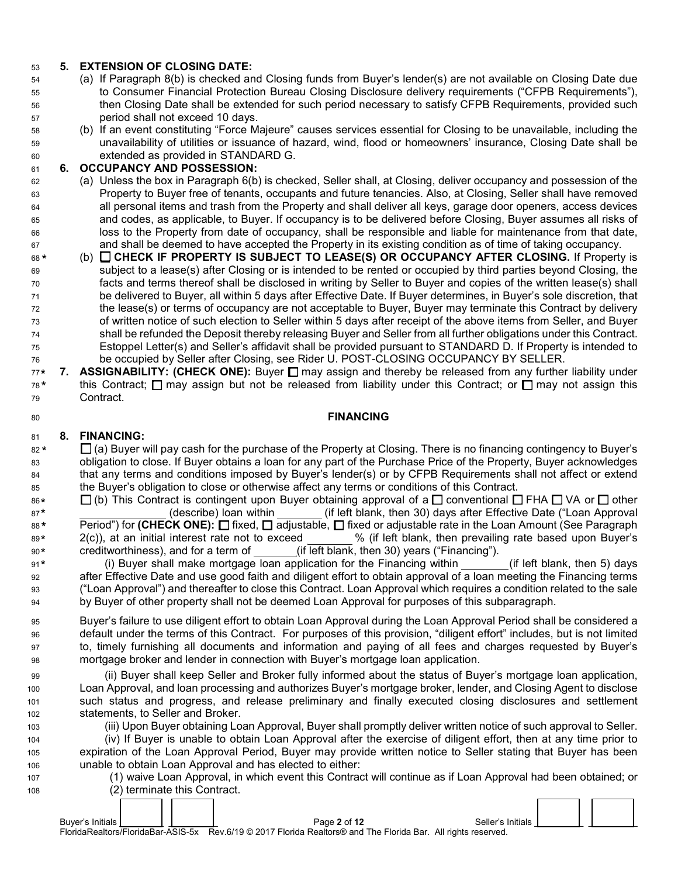## **5. EXTENSION OF CLOSING DATE:**

- (a) If Paragraph 8(b) is checked and Closing funds from Buyer's lender(s) are not available on Closing Date due to Consumer Financial Protection Bureau Closing Disclosure delivery requirements ("CFPB Requirements"), then Closing Date shall be extended for such period necessary to satisfy CFPB Requirements, provided such period shall not exceed 10 days.
- (b) If an event constituting "Force Majeure" causes services essential for Closing to be unavailable, including the unavailability of utilities or issuance of hazard, wind, flood or homeowners' insurance, Closing Date shall be extended as provided in STANDARD G.

## **6. OCCUPANCY AND POSSESSION:**

- (a) Unless the box in Paragraph 6(b) is checked, Seller shall, at Closing, deliver occupancy and possession of the Property to Buyer free of tenants, occupants and future tenancies. Also, at Closing, Seller shall have removed all personal items and trash from the Property and shall deliver all keys, garage door openers, access devices and codes, as applicable, to Buyer. If occupancy is to be delivered before Closing, Buyer assumes all risks of 66 loss to the Property from date of occupancy, shall be responsible and liable for maintenance from that date, and shall be deemed to have accepted the Property in its existing condition as of time of taking occupancy.
- (b) **CHECK IF PROPERTY IS SUBJECT TO LEASE(S) OR OCCUPANCY AFTER CLOSING.** If Property is subject to a lease(s) after Closing or is intended to be rented or occupied by third parties beyond Closing, the facts and terms thereof shall be disclosed in writing by Seller to Buyer and copies of the written lease(s) shall be delivered to Buyer, all within 5 days after Effective Date. If Buyer determines, in Buyer's sole discretion, that the lease(s) or terms of occupancy are not acceptable to Buyer, Buyer may terminate this Contract by delivery of written notice of such election to Seller within 5 days after receipt of the above items from Seller, and Buyer shall be refunded the Deposit thereby releasing Buyer and Seller from all further obligations under this Contract. Estoppel Letter(s) and Seller's affidavit shall be provided pursuant to STANDARD D. If Property is intended to be occupied by Seller after Closing, see Rider U. POST-CLOSING OCCUPANCY BY SELLER.
- 77<sup>★</sup> **7. ASSIGNABILITY: (CHECK ONE):** Buyer **□** may assign and thereby be released from any further liability under  $78*$  this Contract;  $\Box$  may assign but not be released from liability under this Contract; or  $\Box$  may not assign this Contract.

#### **FINANCING**

## **8. FINANCING:**

- $82 \star$   $\Box$  (a) Buyer will pay cash for the purchase of the Property at Closing. There is no financing contingency to Buyer's obligation to close. If Buyer obtains a loan for any part of the Purchase Price of the Property, Buyer acknowledges that any terms and conditions imposed by Buyer's lender(s) or by CFPB Requirements shall not affect or extend the Buyer's obligation to close or otherwise affect any terms or conditions of this Contract.
- $_{86*}$   $\Box$  (b) This Contract is contingent upon Buyer obtaining approval of a  $\Box$  conventional  $\Box$  FHA  $\Box$  VA or  $\Box$  other 87\* Sammen (describe) loan within (if left blank, then 30) days after Effective Date ("Loan Approval 88<sup>\*</sup> Period") for **(CHECK ONE):**  $\Box$  fixed,  $\Box$  adjustable,  $\Box$  fixed or adjustable rate in the Loan Amount (See Paragraph 89\* 2(c)), at an initial interest rate not to exceed  $\frac{1}{2}$  % (if left blank, then prevailing rate based upon Buyer's 90\* creditworthiness), and for a term of (if left blank, then 30) years ("Financing").
- 91<sup>\*</sup> (i) Buyer shall make mortgage loan application for the Financing within (if left blank, then 5) days after Effective Date and use good faith and diligent effort to obtain approval of a loan meeting the Financing terms ("Loan Approval") and thereafter to close this Contract. Loan Approval which requires a condition related to the sale by Buyer of other property shall not be deemed Loan Approval for purposes of this subparagraph.
- Buyer's failure to use diligent effort to obtain Loan Approval during the Loan Approval Period shall be considered a default under the terms of this Contract. For purposes of this provision, "diligent effort" includes, but is not limited to, timely furnishing all documents and information and paying of all fees and charges requested by Buyer's mortgage broker and lender in connection with Buyer's mortgage loan application.
- 99 (ii) Buyer shall keep Seller and Broker fully informed about the status of Buyer's mortgage loan application, Loan Approval, and loan processing and authorizes Buyer's mortgage broker, lender, and Closing Agent to disclose such status and progress, and release preliminary and finally executed closing disclosures and settlement statements, to Seller and Broker.
- 103 (iii) Upon Buyer obtaining Loan Approval, Buyer shall promptly deliver written notice of such approval to Seller.
- 104 (iv) If Buyer is unable to obtain Loan Approval after the exercise of diligent effort, then at any time prior to expiration of the Loan Approval Period, Buyer may provide written notice to Seller stating that Buyer has been unable to obtain Loan Approval and has elected to either:
- 107 (1) waive Loan Approval, in which event this Contract will continue as if Loan Approval had been obtained; or 108 (2) terminate this Contract.

Buyer's Initials \_\_\_\_\_\_\_\_\_ \_\_\_\_\_\_\_\_\_\_ Page **2** of **12** Seller's Initials \_\_\_\_\_\_\_\_\_\_ \_\_\_\_\_\_\_\_\_\_ FloridaRealtors/FloridaBar-ASIS-5x Rev.6/19 © 2017 Florida Realtors® and The Florida Bar. All rights reserved.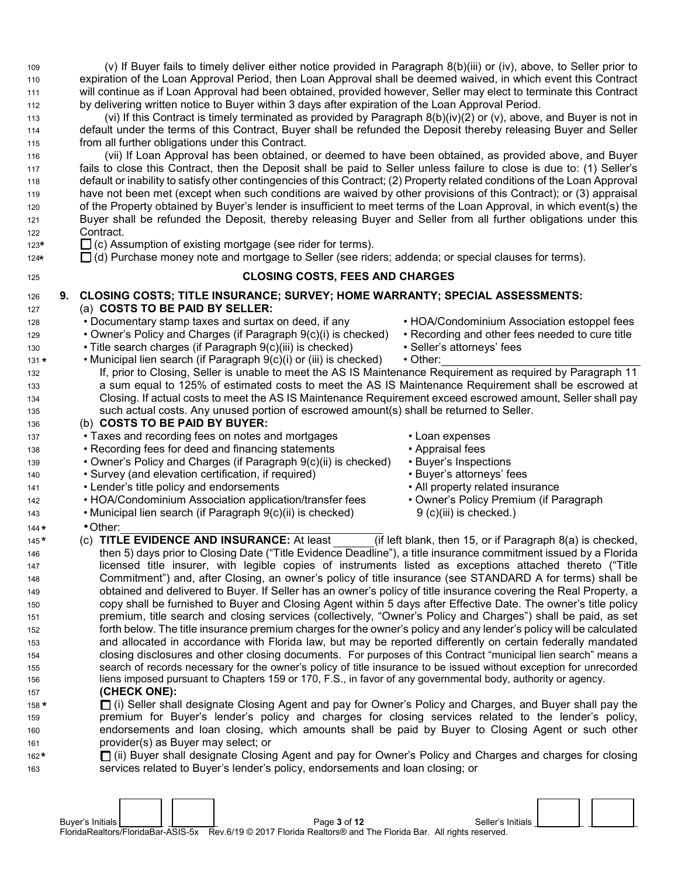| 110    |    | expiration of the Loan Approval Period, then Loan Approval shall be deemed waived, in which event this Contract            |
|--------|----|----------------------------------------------------------------------------------------------------------------------------|
| 111    |    | will continue as if Loan Approval had been obtained, provided however, Seller may elect to terminate this Contract         |
| 112    |    | by delivering written notice to Buyer within 3 days after expiration of the Loan Approval Period.                          |
| 113    |    | (vi) If this Contract is timely terminated as provided by Paragraph 8(b)(iv)(2) or (v), above, and Buyer is not in         |
| 114    |    | default under the terms of this Contract, Buyer shall be refunded the Deposit thereby releasing Buyer and Seller           |
| 115    |    | from all further obligations under this Contract.                                                                          |
| 116    |    | (vii) If Loan Approval has been obtained, or deemed to have been obtained, as provided above, and Buyer                    |
| 117    |    | fails to close this Contract, then the Deposit shall be paid to Seller unless failure to close is due to: (1) Seller's     |
| 118    |    | default or inability to satisfy other contingencies of this Contract; (2) Property related conditions of the Loan Approval |
| 119    |    | have not been met (except when such conditions are waived by other provisions of this Contract); or (3) appraisal          |
| 120    |    | of the Property obtained by Buyer's lender is insufficient to meet terms of the Loan Approval, in which event(s) the       |
| 121    |    | Buyer shall be refunded the Deposit, thereby releasing Buyer and Seller from all further obligations under this            |
| 122    |    | Contract.                                                                                                                  |
| $123*$ |    | $\Box$ (c) Assumption of existing mortgage (see rider for terms).                                                          |
| 124*   |    | $\Box$ (d) Purchase money note and mortgage to Seller (see riders; addenda; or special clauses for terms).                 |
| 125    |    | <b>CLOSING COSTS, FEES AND CHARGES</b>                                                                                     |
| 126    | 9. | CLOSING COSTS; TITLE INSURANCE; SURVEY; HOME WARRANTY; SPECIAL ASSESSMENTS:                                                |
| 127    |    | (a) COSTS TO BE PAID BY SELLER:                                                                                            |
| 128    |    | • Documentary stamp taxes and surtax on deed, if any<br>• HOA/Condominium Association estoppel fees                        |
| 129    |    | • Owner's Policy and Charges (if Paragraph 9(c)(i) is checked)<br>• Recording and other fees needed to cure title          |
| 130    |    | • Title search charges (if Paragraph 9(c)(iii) is checked)<br>• Seller's attorneys' fees                                   |
| $131*$ |    | • Municipal lien search (if Paragraph 9(c)(i) or (iii) is checked)<br>$\cdot$ Other:                                       |
| 132    |    | If, prior to Closing, Seller is unable to meet the AS IS Maintenance Requirement as required by Paragraph 11               |
| 133    |    | a sum equal to 125% of estimated costs to meet the AS IS Maintenance Requirement shall be escrowed at                      |
| 134    |    | Closing. If actual costs to meet the AS IS Maintenance Requirement exceed escrowed amount, Seller shall pay                |
| 135    |    | such actual costs. Any unused portion of escrowed amount(s) shall be returned to Seller.                                   |
| 136    |    | (b) COSTS TO BE PAID BY BUYER:                                                                                             |
| 137    |    | • Taxes and recording fees on notes and mortgages<br>• Loan expenses                                                       |
| 138    |    | • Recording fees for deed and financing statements<br>• Appraisal fees                                                     |
| 139    |    | • Owner's Policy and Charges (if Paragraph 9(c)(ii) is checked)<br>• Buyer's Inspections                                   |
| 140    |    | • Buyer's attorneys' fees<br>• Survey (and elevation certification, if required)                                           |
| 141    |    | • Lender's title policy and endorsements<br>• All property related insurance                                               |
| 142    |    | • HOA/Condominium Association application/transfer fees<br>• Owner's Policy Premium (if Paragraph                          |
| 143    |    | • Municipal lien search (if Paragraph 9(c)(ii) is checked)<br>9 (c)(iii) is checked.)                                      |
| $144*$ |    | • Other:                                                                                                                   |
| $145*$ |    | (c) TITLE EVIDENCE AND INSURANCE: At least<br>(if left blank, then 15, or if Paragraph 8(a) is checked,                    |
| 146    |    | then 5) days prior to Closing Date ("Title Evidence Deadline"), a title insurance commitment issued by a Florida           |
| 147    |    | licensed title insurer, with legible copies of instruments listed as exceptions attached thereto ("Title                   |
| 148    |    | Commitment") and, after Closing, an owner's policy of title insurance (see STANDARD A for terms) shall be                  |
| 149    |    | obtained and delivered to Buyer. If Seller has an owner's policy of title insurance covering the Real Property, a          |
| 150    |    | copy shall be furnished to Buyer and Closing Agent within 5 days after Effective Date. The owner's title policy            |
| 151    |    | premium, title search and closing services (collectively, "Owner's Policy and Charges") shall be paid, as set              |
| 152    |    | forth below. The title insurance premium charges for the owner's policy and any lender's policy will be calculated         |
| 153    |    | and allocated in accordance with Florida law, but may be reported differently on certain federally mandated                |
| 154    |    | closing disclosures and other closing documents. For purposes of this Contract "municipal lien search" means a             |
| 155    |    | search of records necessary for the owner's policy of title insurance to be issued without exception for unrecorded        |
| 156    |    | liens imposed pursuant to Chapters 159 or 170, F.S., in favor of any governmental body, authority or agency.               |
| 157    |    | (CHECK ONE):                                                                                                               |
| $158*$ |    | □ (i) Seller shall designate Closing Agent and pay for Owner's Policy and Charges, and Buyer shall pay the                 |
| 159    |    | premium for Buyer's lender's policy and charges for closing services related to the lender's policy,                       |
| 160    |    | endorsements and loan closing, which amounts shall be paid by Buyer to Closing Agent or such other                         |
| 161    |    | provider(s) as Buyer may select; or                                                                                        |
| $162*$ |    | □ (ii) Buyer shall designate Closing Agent and pay for Owner's Policy and Charges and charges for closing                  |
| 163    |    | services related to Buyer's lender's policy, endorsements and loan closing; or                                             |
|        |    |                                                                                                                            |
|        |    |                                                                                                                            |

109 (v) If Buyer fails to timely deliver either notice provided in Paragraph 8(b)(iii) or (iv), above, to Seller prior to

| Buver's Initials i                 | Page 3 of 12                                           | Seller's Initials    |  |  |
|------------------------------------|--------------------------------------------------------|----------------------|--|--|
| FloridaRealtors/FloridaBar-ASIS-5x | Rev.6/19 © 2017 Florida Realtors® and The Florida Bar. | All rights reserved. |  |  |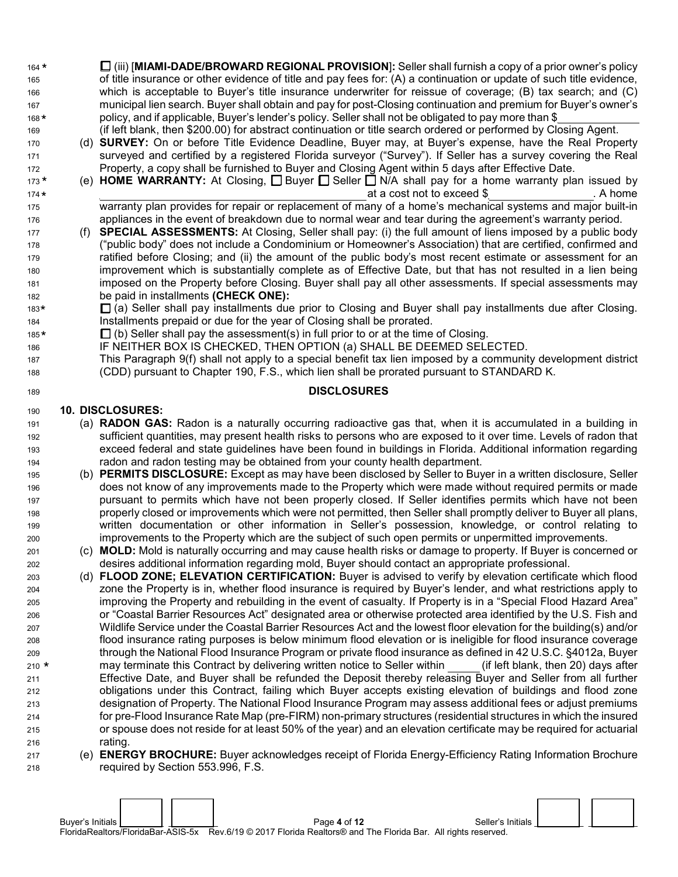- (iii) [**MIAMI-DADE/BROWARD REGIONAL PROVISION**]**:** Seller shall furnish a copy of a prior owner's policy of title insurance or other evidence of title and pay fees for: (A) a continuation or update of such title evidence, which is acceptable to Buyer's title insurance underwriter for reissue of coverage; (B) tax search; and (C) municipal lien search. Buyer shall obtain and pay for post-Closing continuation and premium for Buyer's owner's 168 policy, and if applicable, Buyer's lender's policy. Seller shall not be obligated to pay more than \$
- (if left blank, then \$200.00) for abstract continuation or title search ordered or performed by Closing Agent. (d) **SURVEY:** On or before Title Evidence Deadline, Buyer may, at Buyer's expense, have the Real Property surveyed and certified by a registered Florida surveyor ("Survey"). If Seller has a survey covering the Real Property, a copy shall be furnished to Buyer and Closing Agent within 5 days after Effective Date.
- 173<sup>\*</sup> (e) **HOME WARRANTY:** At Closing, **Buyer B** Seller **B** N/A shall pay for a home warranty plan issued by 174 \* The set of the set of the set of the set of the set of the set of the set of the set of the set of the set of the set of the set of the set of the set of the set of the set of the set of the set of the set of the set warranty plan provides for repair or replacement of many of a home's mechanical systems and major built-in
- appliances in the event of breakdown due to normal wear and tear during the agreement's warranty period. (f) **SPECIAL ASSESSMENTS:** At Closing, Seller shall pay: (i) the full amount of liens imposed by a public body ("public body" does not include a Condominium or Homeowner's Association) that are certified, confirmed and ratified before Closing; and (ii) the amount of the public body's most recent estimate or assessment for an improvement which is substantially complete as of Effective Date, but that has not resulted in a lien being imposed on the Property before Closing. Buyer shall pay all other assessments. If special assessments may be paid in installments **(CHECK ONE):**
- $183*$   $\Box$  (a) Seller shall pay installments due prior to Closing and Buyer shall pay installments due after Closing. Installments prepaid or due for the year of Closing shall be prorated.
- 185\*  $\Box$  (b) Seller shall pay the assessment(s) in full prior to or at the time of Closing.
- 186 IF NEITHER BOX IS CHECKED, THEN OPTION (a) SHALL BE DEEMED SELECTED.
- This Paragraph 9(f) shall not apply to a special benefit tax lien imposed by a community development district (CDD) pursuant to Chapter 190, F.S., which lien shall be prorated pursuant to STANDARD K.

## **DISCLOSURES**

## **10. DISCLOSURES:**

- (a) **RADON GAS:** Radon is a naturally occurring radioactive gas that, when it is accumulated in a building in sufficient quantities, may present health risks to persons who are exposed to it over time. Levels of radon that exceed federal and state guidelines have been found in buildings in Florida. Additional information regarding radon and radon testing may be obtained from your county health department.
- (b) **PERMITS DISCLOSURE:** Except as may have been disclosed by Seller to Buyer in a written disclosure, Seller does not know of any improvements made to the Property which were made without required permits or made pursuant to permits which have not been properly closed. If Seller identifies permits which have not been properly closed or improvements which were not permitted, then Seller shall promptly deliver to Buyer all plans, written documentation or other information in Seller's possession, knowledge, or control relating to improvements to the Property which are the subject of such open permits or unpermitted improvements.
- (c) **MOLD:** Mold is naturally occurring and may cause health risks or damage to property. If Buyer is concerned or desires additional information regarding mold, Buyer should contact an appropriate professional.
- (d) **FLOOD ZONE; ELEVATION CERTIFICATION:** Buyer is advised to verify by elevation certificate which flood zone the Property is in, whether flood insurance is required by Buyer's lender, and what restrictions apply to improving the Property and rebuilding in the event of casualty. If Property is in a "Special Flood Hazard Area" or "Coastal Barrier Resources Act" designated area or otherwise protected area identified by the U.S. Fish and Wildlife Service under the Coastal Barrier Resources Act and the lowest floor elevation for the building(s) and/or flood insurance rating purposes is below minimum flood elevation or is ineligible for flood insurance coverage through the National Flood Insurance Program or private flood insurance as defined in 42 U.S.C. §4012a, Buyer 210 \* This may terminate this Contract by delivering written notice to Seller within (if left blank, then 20) days after Effective Date, and Buyer shall be refunded the Deposit thereby releasing Buyer and Seller from all further obligations under this Contract, failing which Buyer accepts existing elevation of buildings and flood zone designation of Property. The National Flood Insurance Program may assess additional fees or adjust premiums for pre-Flood Insurance Rate Map (pre-FIRM) non-primary structures (residential structures in which the insured or spouse does not reside for at least 50% of the year) and an elevation certificate may be required for actuarial rating.
- (e) **ENERGY BROCHURE:** Buyer acknowledges receipt of Florida Energy-Efficiency Rating Information Brochure required by Section 553.996, F.S.

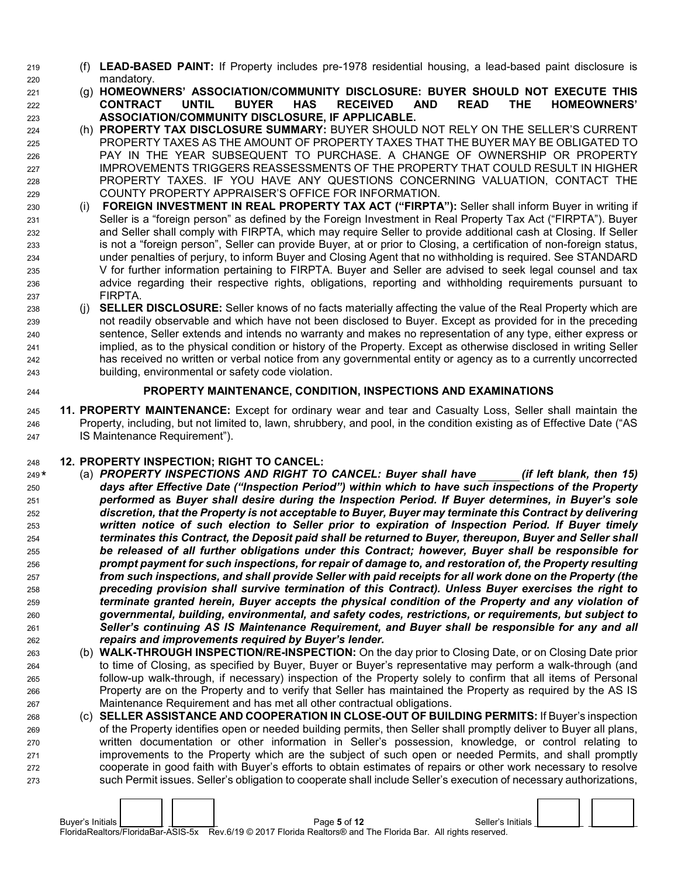- (f) **LEAD-BASED PAINT:** If Property includes pre-1978 residential housing, a lead-based paint disclosure is mandatory.
- (g) **HOMEOWNERS' ASSOCIATION/COMMUNITY DISCLOSURE: BUYER SHOULD NOT EXECUTE THIS CONTRACT UNTIL BUYER HAS RECEIVED AND READ THE HOMEOWNERS' ASSOCIATION/COMMUNITY DISCLOSURE, IF APPLICABLE.**
- (h) **PROPERTY TAX DISCLOSURE SUMMARY:** BUYER SHOULD NOT RELY ON THE SELLER'S CURRENT PROPERTY TAXES AS THE AMOUNT OF PROPERTY TAXES THAT THE BUYER MAY BE OBLIGATED TO PAY IN THE YEAR SUBSEQUENT TO PURCHASE. A CHANGE OF OWNERSHIP OR PROPERTY **IMPROVEMENTS TRIGGERS REASSESSMENTS OF THE PROPERTY THAT COULD RESULT IN HIGHER**  PROPERTY TAXES. IF YOU HAVE ANY QUESTIONS CONCERNING VALUATION, CONTACT THE COUNTY PROPERTY APPRAISER'S OFFICE FOR INFORMATION.
- (i) **FOREIGN INVESTMENT IN REAL PROPERTY TAX ACT ("FIRPTA"):** Seller shall inform Buyer in writing if Seller is a "foreign person" as defined by the Foreign Investment in Real Property Tax Act ("FIRPTA"). Buyer and Seller shall comply with FIRPTA, which may require Seller to provide additional cash at Closing. If Seller is not a "foreign person", Seller can provide Buyer, at or prior to Closing, a certification of non-foreign status, under penalties of perjury, to inform Buyer and Closing Agent that no withholding is required. See STANDARD V for further information pertaining to FIRPTA. Buyer and Seller are advised to seek legal counsel and tax advice regarding their respective rights, obligations, reporting and withholding requirements pursuant to FIRPTA.
- (j) **SELLER DISCLOSURE:** Seller knows of no facts materially affecting the value of the Real Property which are not readily observable and which have not been disclosed to Buyer. Except as provided for in the preceding sentence, Seller extends and intends no warranty and makes no representation of any type, either express or implied, as to the physical condition or history of the Property. Except as otherwise disclosed in writing Seller has received no written or verbal notice from any governmental entity or agency as to a currently uncorrected building, environmental or safety code violation.

# **PROPERTY MAINTENANCE, CONDITION, INSPECTIONS AND EXAMINATIONS**

 **11. PROPERTY MAINTENANCE:** Except for ordinary wear and tear and Casualty Loss, Seller shall maintain the Property, including, but not limited to, lawn, shrubbery, and pool, in the condition existing as of Effective Date ("AS IS Maintenance Requirement").

# **12. PROPERTY INSPECTION; RIGHT TO CANCEL:**

- 249<sup>\*</sup> (a) *PROPERTY INSPECTIONS AND RIGHT TO CANCEL: Buyer shall have (if left blank, then 15) days after Effective Date ("Inspection Period") within which to have such inspections of the Property performed* **as** *Buyer shall desire during the Inspection Period. If Buyer determines, in Buyer's sole discretion, that the Property is not acceptable to Buyer, Buyer may terminate this Contract by delivering written notice of such election to Seller prior to expiration of Inspection Period. If Buyer timely terminates this Contract, the Deposit paid shall be returned to Buyer, thereupon, Buyer and Seller shall be released of all further obligations under this Contract; however, Buyer shall be responsible for prompt payment for such inspections, for repair of damage to, and restoration of, the Property resulting from such inspections, and shall provide Seller with paid receipts for all work done on the Property (the preceding provision shall survive termination of this Contract). Unless Buyer exercises the right to terminate granted herein, Buyer accepts the physical condition of the Property and any violation of governmental, building, environmental, and safety codes, restrictions, or requirements, but subject to Seller's continuing AS IS Maintenance Requirement, and Buyer shall be responsible for any and all repairs and improvements required by Buyer's lender.*
- (b) **WALK-THROUGH INSPECTION/RE-INSPECTION:** On the day prior to Closing Date, or on Closing Date prior to time of Closing, as specified by Buyer, Buyer or Buyer's representative may perform a walk-through (and follow-up walk-through, if necessary) inspection of the Property solely to confirm that all items of Personal Property are on the Property and to verify that Seller has maintained the Property as required by the AS IS Maintenance Requirement and has met all other contractual obligations.
- (c) **SELLER ASSISTANCE AND COOPERATION IN CLOSE-OUT OF BUILDING PERMITS:** If Buyer's inspection of the Property identifies open or needed building permits, then Seller shall promptly deliver to Buyer all plans, written documentation or other information in Seller's possession, knowledge, or control relating to improvements to the Property which are the subject of such open or needed Permits, and shall promptly cooperate in good faith with Buyer's efforts to obtain estimates of repairs or other work necessary to resolve such Permit issues. Seller's obligation to cooperate shall include Seller's execution of necessary authorizations,

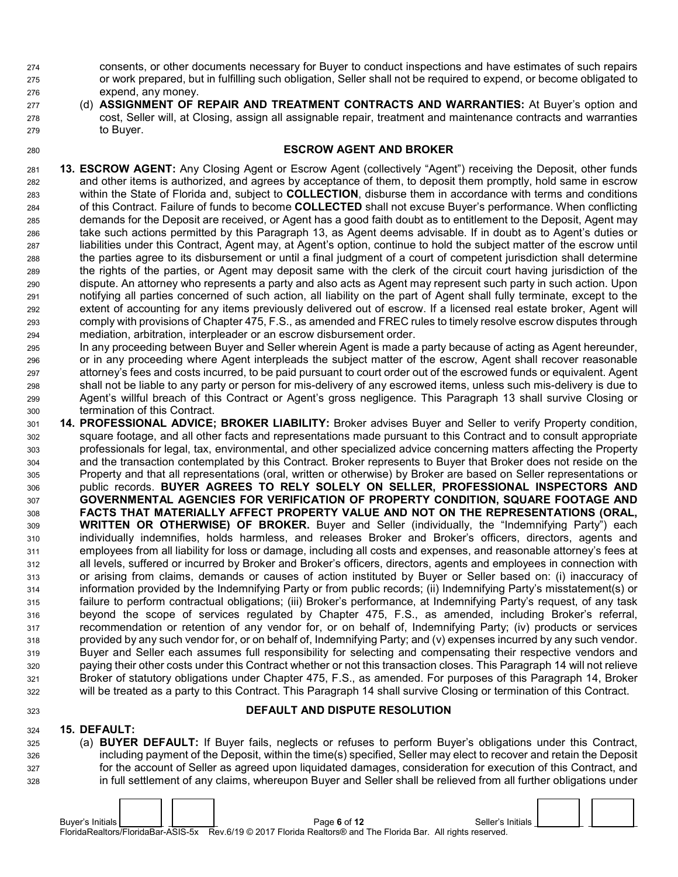- consents, or other documents necessary for Buyer to conduct inspections and have estimates of such repairs or work prepared, but in fulfilling such obligation, Seller shall not be required to expend, or become obligated to expend, any money.
- (d) **ASSIGNMENT OF REPAIR AND TREATMENT CONTRACTS AND WARRANTIES:** At Buyer's option and cost, Seller will, at Closing, assign all assignable repair, treatment and maintenance contracts and warranties to Buyer.
- 

## **ESCROW AGENT AND BROKER**

- **13. ESCROW AGENT:** Any Closing Agent or Escrow Agent (collectively "Agent") receiving the Deposit, other funds and other items is authorized, and agrees by acceptance of them, to deposit them promptly, hold same in escrow within the State of Florida and, subject to **COLLECTION**, disburse them in accordance with terms and conditions of this Contract. Failure of funds to become **COLLECTED** shall not excuse Buyer's performance. When conflicting demands for the Deposit are received, or Agent has a good faith doubt as to entitlement to the Deposit, Agent may take such actions permitted by this Paragraph 13, as Agent deems advisable. If in doubt as to Agent's duties or liabilities under this Contract, Agent may, at Agent's option, continue to hold the subject matter of the escrow until the parties agree to its disbursement or until a final judgment of a court of competent jurisdiction shall determine the rights of the parties, or Agent may deposit same with the clerk of the circuit court having jurisdiction of the dispute. An attorney who represents a party and also acts as Agent may represent such party in such action. Upon notifying all parties concerned of such action, all liability on the part of Agent shall fully terminate, except to the extent of accounting for any items previously delivered out of escrow. If a licensed real estate broker, Agent will comply with provisions of Chapter 475, F.S., as amended and FREC rules to timely resolve escrow disputes through mediation, arbitration, interpleader or an escrow disbursement order.
- In any proceeding between Buyer and Seller wherein Agent is made a party because of acting as Agent hereunder, or in any proceeding where Agent interpleads the subject matter of the escrow, Agent shall recover reasonable attorney's fees and costs incurred, to be paid pursuant to court order out of the escrowed funds or equivalent. Agent shall not be liable to any party or person for mis-delivery of any escrowed items, unless such mis-delivery is due to Agent's willful breach of this Contract or Agent's gross negligence. This Paragraph 13 shall survive Closing or termination of this Contract.
- **14. PROFESSIONAL ADVICE; BROKER LIABILITY:** Broker advises Buyer and Seller to verify Property condition, square footage, and all other facts and representations made pursuant to this Contract and to consult appropriate professionals for legal, tax, environmental, and other specialized advice concerning matters affecting the Property and the transaction contemplated by this Contract. Broker represents to Buyer that Broker does not reside on the Property and that all representations (oral, written or otherwise) by Broker are based on Seller representations or public records. **BUYER AGREES TO RELY SOLELY ON SELLER, PROFESSIONAL INSPECTORS AND GOVERNMENTAL AGENCIES FOR VERIFICATION OF PROPERTY CONDITION, SQUARE FOOTAGE AND FACTS THAT MATERIALLY AFFECT PROPERTY VALUE AND NOT ON THE REPRESENTATIONS (ORAL, WRITTEN OR OTHERWISE) OF BROKER.** Buyer and Seller (individually, the "Indemnifying Party") each individually indemnifies, holds harmless, and releases Broker and Broker's officers, directors, agents and employees from all liability for loss or damage, including all costs and expenses, and reasonable attorney's fees at all levels, suffered or incurred by Broker and Broker's officers, directors, agents and employees in connection with or arising from claims, demands or causes of action instituted by Buyer or Seller based on: (i) inaccuracy of information provided by the Indemnifying Party or from public records; (ii) Indemnifying Party's misstatement(s) or failure to perform contractual obligations; (iii) Broker's performance, at Indemnifying Party's request, of any task beyond the scope of services regulated by Chapter 475, F.S., as amended, including Broker's referral, recommendation or retention of any vendor for, or on behalf of, Indemnifying Party; (iv) products or services provided by any such vendor for, or on behalf of, Indemnifying Party; and (v) expenses incurred by any such vendor. Buyer and Seller each assumes full responsibility for selecting and compensating their respective vendors and paying their other costs under this Contract whether or not this transaction closes. This Paragraph 14 will not relieve Broker of statutory obligations under Chapter 475, F.S., as amended. For purposes of this Paragraph 14, Broker will be treated as a party to this Contract. This Paragraph 14 shall survive Closing or termination of this Contract.

## **DEFAULT AND DISPUTE RESOLUTION**

#### **15. DEFAULT:**

 (a) **BUYER DEFAULT:** If Buyer fails, neglects or refuses to perform Buyer's obligations under this Contract, including payment of the Deposit, within the time(s) specified, Seller may elect to recover and retain the Deposit for the account of Seller as agreed upon liquidated damages, consideration for execution of this Contract, and in full settlement of any claims, whereupon Buyer and Seller shall be relieved from all further obligations under

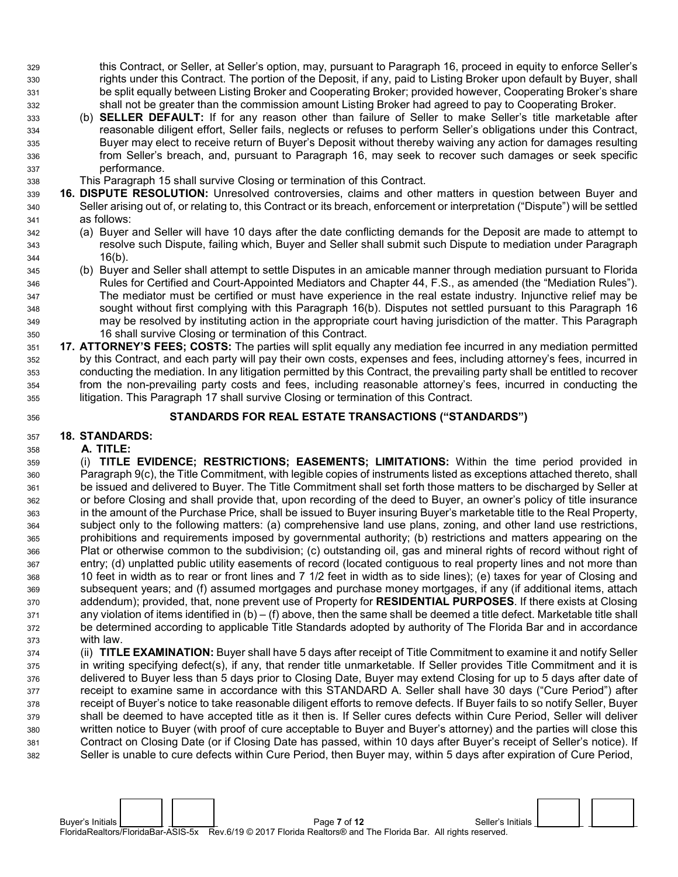this Contract, or Seller, at Seller's option, may, pursuant to Paragraph 16, proceed in equity to enforce Seller's rights under this Contract. The portion of the Deposit, if any, paid to Listing Broker upon default by Buyer, shall be split equally between Listing Broker and Cooperating Broker; provided however, Cooperating Broker's share shall not be greater than the commission amount Listing Broker had agreed to pay to Cooperating Broker.

- (b) **SELLER DEFAULT:** If for any reason other than failure of Seller to make Seller's title marketable after reasonable diligent effort, Seller fails, neglects or refuses to perform Seller's obligations under this Contract, Buyer may elect to receive return of Buyer's Deposit without thereby waiving any action for damages resulting from Seller's breach, and, pursuant to Paragraph 16, may seek to recover such damages or seek specific performance.
- This Paragraph 15 shall survive Closing or termination of this Contract.
- **16. DISPUTE RESOLUTION:** Unresolved controversies, claims and other matters in question between Buyer and Seller arising out of, or relating to, this Contract or its breach, enforcement or interpretation ("Dispute") will be settled as follows:
- (a) Buyer and Seller will have 10 days after the date conflicting demands for the Deposit are made to attempt to resolve such Dispute, failing which, Buyer and Seller shall submit such Dispute to mediation under Paragraph 16(b).
- (b) Buyer and Seller shall attempt to settle Disputes in an amicable manner through mediation pursuant to Florida Rules for Certified and Court-Appointed Mediators and Chapter 44, F.S., as amended (the "Mediation Rules"). The mediator must be certified or must have experience in the real estate industry. Injunctive relief may be sought without first complying with this Paragraph 16(b). Disputes not settled pursuant to this Paragraph 16 may be resolved by instituting action in the appropriate court having jurisdiction of the matter. This Paragraph 16 shall survive Closing or termination of this Contract.
- **17. ATTORNEY'S FEES; COSTS:** The parties will split equally any mediation fee incurred in any mediation permitted by this Contract, and each party will pay their own costs, expenses and fees, including attorney's fees, incurred in conducting the mediation. In any litigation permitted by this Contract, the prevailing party shall be entitled to recover from the non-prevailing party costs and fees, including reasonable attorney's fees, incurred in conducting the litigation. This Paragraph 17 shall survive Closing or termination of this Contract.

# **STANDARDS FOR REAL ESTATE TRANSACTIONS ("STANDARDS")**

## **18. STANDARDS:**

#### **A. TITLE:**

 (i) **TITLE EVIDENCE; RESTRICTIONS; EASEMENTS; LIMITATIONS:** Within the time period provided in Paragraph 9(c), the Title Commitment, with legible copies of instruments listed as exceptions attached thereto, shall be issued and delivered to Buyer. The Title Commitment shall set forth those matters to be discharged by Seller at or before Closing and shall provide that, upon recording of the deed to Buyer, an owner's policy of title insurance in the amount of the Purchase Price, shall be issued to Buyer insuring Buyer's marketable title to the Real Property, subject only to the following matters: (a) comprehensive land use plans, zoning, and other land use restrictions, prohibitions and requirements imposed by governmental authority; (b) restrictions and matters appearing on the Plat or otherwise common to the subdivision; (c) outstanding oil, gas and mineral rights of record without right of entry; (d) unplatted public utility easements of record (located contiguous to real property lines and not more than 10 feet in width as to rear or front lines and 7 1/2 feet in width as to side lines); (e) taxes for year of Closing and subsequent years; and (f) assumed mortgages and purchase money mortgages, if any (if additional items, attach addendum); provided, that, none prevent use of Property for **RESIDENTIAL PURPOSES**. If there exists at Closing any violation of items identified in (b) – (f) above, then the same shall be deemed a title defect. Marketable title shall be determined according to applicable Title Standards adopted by authority of The Florida Bar and in accordance with law.

 (ii) **TITLE EXAMINATION:** Buyer shall have 5 days after receipt of Title Commitment to examine it and notify Seller in writing specifying defect(s), if any, that render title unmarketable. If Seller provides Title Commitment and it is delivered to Buyer less than 5 days prior to Closing Date, Buyer may extend Closing for up to 5 days after date of receipt to examine same in accordance with this STANDARD A. Seller shall have 30 days ("Cure Period") after receipt of Buyer's notice to take reasonable diligent efforts to remove defects. If Buyer fails to so notify Seller, Buyer shall be deemed to have accepted title as it then is. If Seller cures defects within Cure Period, Seller will deliver written notice to Buyer (with proof of cure acceptable to Buyer and Buyer's attorney) and the parties will close this Contract on Closing Date (or if Closing Date has passed, within 10 days after Buyer's receipt of Seller's notice). If Seller is unable to cure defects within Cure Period, then Buyer may, within 5 days after expiration of Cure Period,

| Buver's Initials                   | Page 7 of 12                                           | Seller's Initials      |  |  |
|------------------------------------|--------------------------------------------------------|------------------------|--|--|
| FloridaRealtors/FloridaBar-ASIS-5x | Rev.6/19 © 2017 Florida Realtors® and The Florida Bar. | . All rights reserved. |  |  |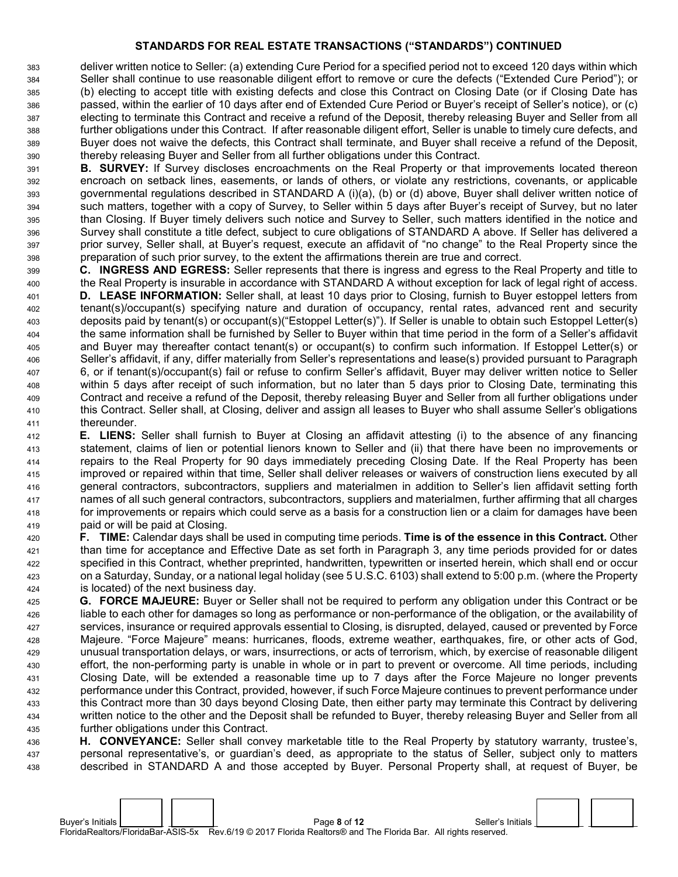deliver written notice to Seller: (a) extending Cure Period for a specified period not to exceed 120 days within which Seller shall continue to use reasonable diligent effort to remove or cure the defects ("Extended Cure Period"); or (b) electing to accept title with existing defects and close this Contract on Closing Date (or if Closing Date has passed, within the earlier of 10 days after end of Extended Cure Period or Buyer's receipt of Seller's notice), or (c) electing to terminate this Contract and receive a refund of the Deposit, thereby releasing Buyer and Seller from all further obligations under this Contract. If after reasonable diligent effort, Seller is unable to timely cure defects, and Buyer does not waive the defects, this Contract shall terminate, and Buyer shall receive a refund of the Deposit, thereby releasing Buyer and Seller from all further obligations under this Contract.

 **B. SURVEY:** If Survey discloses encroachments on the Real Property or that improvements located thereon encroach on setback lines, easements, or lands of others, or violate any restrictions, covenants, or applicable governmental regulations described in STANDARD A (i)(a), (b) or (d) above, Buyer shall deliver written notice of such matters, together with a copy of Survey, to Seller within 5 days after Buyer's receipt of Survey, but no later than Closing. If Buyer timely delivers such notice and Survey to Seller, such matters identified in the notice and Survey shall constitute a title defect, subject to cure obligations of STANDARD A above. If Seller has delivered a prior survey, Seller shall, at Buyer's request, execute an affidavit of "no change" to the Real Property since the preparation of such prior survey, to the extent the affirmations therein are true and correct.

 **C. INGRESS AND EGRESS:** Seller represents that there is ingress and egress to the Real Property and title to the Real Property is insurable in accordance with STANDARD A without exception for lack of legal right of access. **D. LEASE INFORMATION:** Seller shall, at least 10 days prior to Closing, furnish to Buyer estoppel letters from tenant(s)/occupant(s) specifying nature and duration of occupancy, rental rates, advanced rent and security deposits paid by tenant(s) or occupant(s)("Estoppel Letter(s)"). If Seller is unable to obtain such Estoppel Letter(s) the same information shall be furnished by Seller to Buyer within that time period in the form of a Seller's affidavit and Buyer may thereafter contact tenant(s) or occupant(s) to confirm such information. If Estoppel Letter(s) or Seller's affidavit, if any, differ materially from Seller's representations and lease(s) provided pursuant to Paragraph 6, or if tenant(s)/occupant(s) fail or refuse to confirm Seller's affidavit, Buyer may deliver written notice to Seller within 5 days after receipt of such information, but no later than 5 days prior to Closing Date, terminating this Contract and receive a refund of the Deposit, thereby releasing Buyer and Seller from all further obligations under this Contract. Seller shall, at Closing, deliver and assign all leases to Buyer who shall assume Seller's obligations thereunder.

 **E. LIENS:** Seller shall furnish to Buyer at Closing an affidavit attesting (i) to the absence of any financing statement, claims of lien or potential lienors known to Seller and (ii) that there have been no improvements or repairs to the Real Property for 90 days immediately preceding Closing Date. If the Real Property has been improved or repaired within that time, Seller shall deliver releases or waivers of construction liens executed by all general contractors, subcontractors, suppliers and materialmen in addition to Seller's lien affidavit setting forth names of all such general contractors, subcontractors, suppliers and materialmen, further affirming that all charges for improvements or repairs which could serve as a basis for a construction lien or a claim for damages have been paid or will be paid at Closing.

 **F. TIME:** Calendar days shall be used in computing time periods. **Time is of the essence in this Contract.** Other than time for acceptance and Effective Date as set forth in Paragraph 3, any time periods provided for or dates specified in this Contract, whether preprinted, handwritten, typewritten or inserted herein, which shall end or occur on a Saturday, Sunday, or a national legal holiday (see 5 U.S.C. 6103) shall extend to 5:00 p.m. (where the Property is located) of the next business day.

 **G. FORCE MAJEURE:** Buyer or Seller shall not be required to perform any obligation under this Contract or be liable to each other for damages so long as performance or non-performance of the obligation, or the availability of services, insurance or required approvals essential to Closing, is disrupted, delayed, caused or prevented by Force Majeure. "Force Majeure" means: hurricanes, floods, extreme weather, earthquakes, fire, or other acts of God, unusual transportation delays, or wars, insurrections, or acts of terrorism, which, by exercise of reasonable diligent effort, the non-performing party is unable in whole or in part to prevent or overcome. All time periods, including Closing Date, will be extended a reasonable time up to 7 days after the Force Majeure no longer prevents performance under this Contract, provided, however, if such Force Majeure continues to prevent performance under this Contract more than 30 days beyond Closing Date, then either party may terminate this Contract by delivering written notice to the other and the Deposit shall be refunded to Buyer, thereby releasing Buyer and Seller from all further obligations under this Contract.

 **H. CONVEYANCE:** Seller shall convey marketable title to the Real Property by statutory warranty, trustee's, personal representative's, or guardian's deed, as appropriate to the status of Seller, subject only to matters described in STANDARD A and those accepted by Buyer. Personal Property shall, at request of Buyer, be

n r

| Buver's Initials                   | Page 8 of 12                                          | Seller's Initials   |  |  |
|------------------------------------|-------------------------------------------------------|---------------------|--|--|
| FloridaRealtors/FloridaBar-ASIS-5x | Rev 6/19 © 2017 Florida Realtors® and The Florida Bar | All rights reserved |  |  |

− −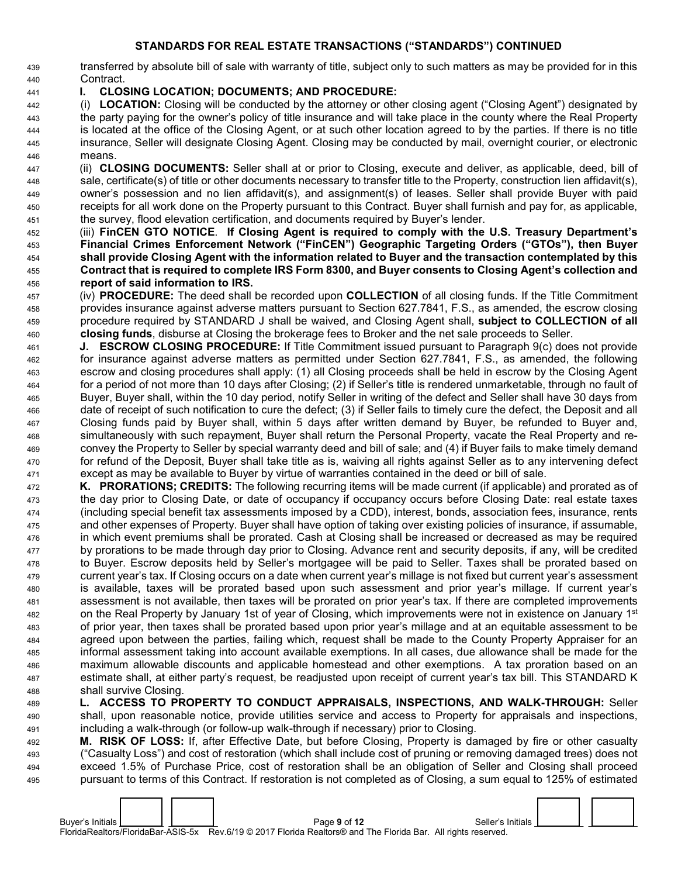transferred by absolute bill of sale with warranty of title, subject only to such matters as may be provided for in this Contract.

# **I. CLOSING LOCATION; DOCUMENTS; AND PROCEDURE:**

 (i) **LOCATION:** Closing will be conducted by the attorney or other closing agent ("Closing Agent") designated by the party paying for the owner's policy of title insurance and will take place in the county where the Real Property is located at the office of the Closing Agent, or at such other location agreed to by the parties. If there is no title insurance, Seller will designate Closing Agent. Closing may be conducted by mail, overnight courier, or electronic means.

- (ii) **CLOSING DOCUMENTS:** Seller shall at or prior to Closing, execute and deliver, as applicable, deed, bill of sale, certificate(s) of title or other documents necessary to transfer title to the Property, construction lien affidavit(s), owner's possession and no lien affidavit(s), and assignment(s) of leases. Seller shall provide Buyer with paid receipts for all work done on the Property pursuant to this Contract. Buyer shall furnish and pay for, as applicable, the survey, flood elevation certification, and documents required by Buyer's lender.
- (iii) **FinCEN GTO NOTICE**. **If Closing Agent is required to comply with the U.S. Treasury Department's Financial Crimes Enforcement Network ("FinCEN") Geographic Targeting Orders ("GTOs"), then Buyer shall provide Closing Agent with the information related to Buyer and the transaction contemplated by this Contract that is required to complete IRS Form 8300, and Buyer consents to Closing Agent's collection and report of said information to IRS.**
- (iv) **PROCEDURE:** The deed shall be recorded upon **COLLECTION** of all closing funds. If the Title Commitment provides insurance against adverse matters pursuant to Section 627.7841, F.S., as amended, the escrow closing procedure required by STANDARD J shall be waived, and Closing Agent shall, **subject to COLLECTION of all closing funds**, disburse at Closing the brokerage fees to Broker and the net sale proceeds to Seller.
- **J. ESCROW CLOSING PROCEDURE:** If Title Commitment issued pursuant to Paragraph 9(c) does not provide for insurance against adverse matters as permitted under Section 627.7841, F.S., as amended, the following escrow and closing procedures shall apply: (1) all Closing proceeds shall be held in escrow by the Closing Agent for a period of not more than 10 days after Closing; (2) if Seller's title is rendered unmarketable, through no fault of Buyer, Buyer shall, within the 10 day period, notify Seller in writing of the defect and Seller shall have 30 days from date of receipt of such notification to cure the defect; (3) if Seller fails to timely cure the defect, the Deposit and all Closing funds paid by Buyer shall, within 5 days after written demand by Buyer, be refunded to Buyer and, simultaneously with such repayment, Buyer shall return the Personal Property, vacate the Real Property and re- convey the Property to Seller by special warranty deed and bill of sale; and (4) if Buyer fails to make timely demand for refund of the Deposit, Buyer shall take title as is, waiving all rights against Seller as to any intervening defect except as may be available to Buyer by virtue of warranties contained in the deed or bill of sale.
- **K. PRORATIONS; CREDITS:** The following recurring items will be made current (if applicable) and prorated as of the day prior to Closing Date, or date of occupancy if occupancy occurs before Closing Date: real estate taxes (including special benefit tax assessments imposed by a CDD), interest, bonds, association fees, insurance, rents and other expenses of Property. Buyer shall have option of taking over existing policies of insurance, if assumable, in which event premiums shall be prorated. Cash at Closing shall be increased or decreased as may be required by prorations to be made through day prior to Closing. Advance rent and security deposits, if any, will be credited to Buyer. Escrow deposits held by Seller's mortgagee will be paid to Seller. Taxes shall be prorated based on current year's tax. If Closing occurs on a date when current year's millage is not fixed but current year's assessment is available, taxes will be prorated based upon such assessment and prior year's millage. If current year's assessment is not available, then taxes will be prorated on prior year's tax. If there are completed improvements <sup>482</sup> on the Real Property by January 1st of year of Closing, which improvements were not in existence on January 1<sup>st</sup> of prior year, then taxes shall be prorated based upon prior year's millage and at an equitable assessment to be agreed upon between the parties, failing which, request shall be made to the County Property Appraiser for an informal assessment taking into account available exemptions. In all cases, due allowance shall be made for the maximum allowable discounts and applicable homestead and other exemptions. A tax proration based on an estimate shall, at either party's request, be readjusted upon receipt of current year's tax bill. This STANDARD K shall survive Closing.
- **L. ACCESS TO PROPERTY TO CONDUCT APPRAISALS, INSPECTIONS, AND WALK-THROUGH:** Seller shall, upon reasonable notice, provide utilities service and access to Property for appraisals and inspections, including a walk-through (or follow-up walk-through if necessary) prior to Closing.

 **M. RISK OF LOSS:** If, after Effective Date, but before Closing, Property is damaged by fire or other casualty ("Casualty Loss") and cost of restoration (which shall include cost of pruning or removing damaged trees) does not exceed 1.5% of Purchase Price, cost of restoration shall be an obligation of Seller and Closing shall proceed pursuant to terms of this Contract. If restoration is not completed as of Closing, a sum equal to 125% of estimated

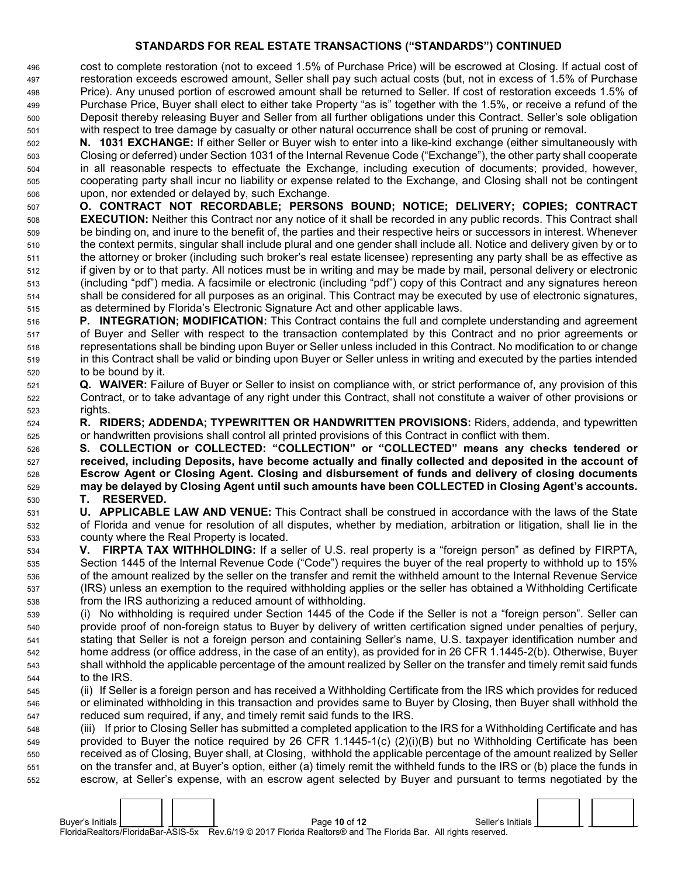cost to complete restoration (not to exceed 1.5% of Purchase Price) will be escrowed at Closing. If actual cost of restoration exceeds escrowed amount, Seller shall pay such actual costs (but, not in excess of 1.5% of Purchase Price). Any unused portion of escrowed amount shall be returned to Seller. If cost of restoration exceeds 1.5% of Purchase Price, Buyer shall elect to either take Property "as is" together with the 1.5%, or receive a refund of the Deposit thereby releasing Buyer and Seller from all further obligations under this Contract. Seller's sole obligation with respect to tree damage by casualty or other natural occurrence shall be cost of pruning or removal.

 **N. 1031 EXCHANGE:** If either Seller or Buyer wish to enter into a like-kind exchange (either simultaneously with Closing or deferred) under Section 1031 of the Internal Revenue Code ("Exchange"), the other party shall cooperate in all reasonable respects to effectuate the Exchange, including execution of documents; provided, however, cooperating party shall incur no liability or expense related to the Exchange, and Closing shall not be contingent upon, nor extended or delayed by, such Exchange.

 **O. CONTRACT NOT RECORDABLE; PERSONS BOUND; NOTICE; DELIVERY; COPIES; CONTRACT EXECUTION:** Neither this Contract nor any notice of it shall be recorded in any public records. This Contract shall be binding on, and inure to the benefit of, the parties and their respective heirs or successors in interest. Whenever the context permits, singular shall include plural and one gender shall include all. Notice and delivery given by or to the attorney or broker (including such broker's real estate licensee) representing any party shall be as effective as if given by or to that party. All notices must be in writing and may be made by mail, personal delivery or electronic (including "pdf") media. A facsimile or electronic (including "pdf") copy of this Contract and any signatures hereon shall be considered for all purposes as an original. This Contract may be executed by use of electronic signatures, as determined by Florida's Electronic Signature Act and other applicable laws.

- **P. INTEGRATION; MODIFICATION:** This Contract contains the full and complete understanding and agreement of Buyer and Seller with respect to the transaction contemplated by this Contract and no prior agreements or representations shall be binding upon Buyer or Seller unless included in this Contract. No modification to or change in this Contract shall be valid or binding upon Buyer or Seller unless in writing and executed by the parties intended to be bound by it.
- **Q. WAIVER:** Failure of Buyer or Seller to insist on compliance with, or strict performance of, any provision of this Contract, or to take advantage of any right under this Contract, shall not constitute a waiver of other provisions or rights.

 **R. RIDERS; ADDENDA; TYPEWRITTEN OR HANDWRITTEN PROVISIONS:** Riders, addenda, and typewritten or handwritten provisions shall control all printed provisions of this Contract in conflict with them.

 **S. COLLECTION or COLLECTED: "COLLECTION" or "COLLECTED" means any checks tendered or received, including Deposits, have become actually and finally collected and deposited in the account of Escrow Agent or Closing Agent. Closing and disbursement of funds and delivery of closing documents may be delayed by Closing Agent until such amounts have been COLLECTED in Closing Agent's accounts. T. RESERVED.**

 **U. APPLICABLE LAW AND VENUE:** This Contract shall be construed in accordance with the laws of the State of Florida and venue for resolution of all disputes, whether by mediation, arbitration or litigation, shall lie in the county where the Real Property is located.

 **V. FIRPTA TAX WITHHOLDING:** If a seller of U.S. real property is a "foreign person" as defined by FIRPTA, Section 1445 of the Internal Revenue Code ("Code") requires the buyer of the real property to withhold up to 15% of the amount realized by the seller on the transfer and remit the withheld amount to the Internal Revenue Service (IRS) unless an exemption to the required withholding applies or the seller has obtained a Withholding Certificate from the IRS authorizing a reduced amount of withholding.

 (i) No withholding is required under Section 1445 of the Code if the Seller is not a "foreign person". Seller can provide proof of non-foreign status to Buyer by delivery of written certification signed under penalties of perjury, stating that Seller is not a foreign person and containing Seller's name, U.S. taxpayer identification number and home address (or office address, in the case of an entity), as provided for in 26 CFR 1.1445-2(b). Otherwise, Buyer shall withhold the applicable percentage of the amount realized by Seller on the transfer and timely remit said funds to the IRS.

 (ii) If Seller is a foreign person and has received a Withholding Certificate from the IRS which provides for reduced or eliminated withholding in this transaction and provides same to Buyer by Closing, then Buyer shall withhold the reduced sum required, if any, and timely remit said funds to the IRS.

 (iii) If prior to Closing Seller has submitted a completed application to the IRS for a Withholding Certificate and has provided to Buyer the notice required by 26 CFR 1.1445-1(c) (2)(i)(B) but no Withholding Certificate has been received as of Closing, Buyer shall, at Closing, withhold the applicable percentage of the amount realized by Seller on the transfer and, at Buyer's option, either (a) timely remit the withheld funds to the IRS or (b) place the funds in escrow, at Seller's expense, with an escrow agent selected by Buyer and pursuant to terms negotiated by the

| Buver's Initials                   | Page 10 of 12                                                               | Seller's Initials |  |  |
|------------------------------------|-----------------------------------------------------------------------------|-------------------|--|--|
| FloridaRealtors/FloridaBar-ASIS-5x | Rev.6/19 © 2017 Florida Realtors® and The Florida Bar. All rights reserved. |                   |  |  |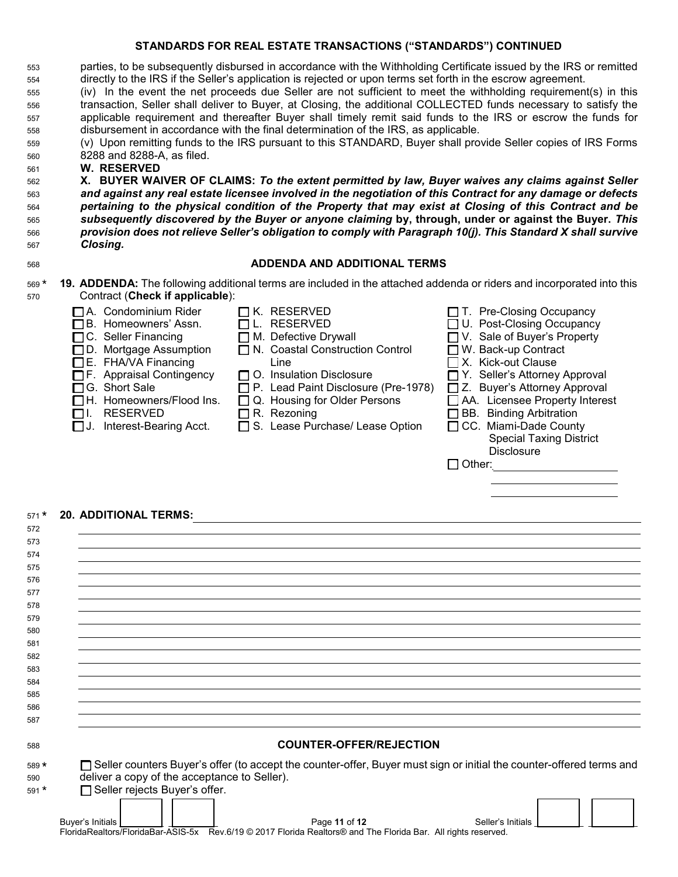| 553 | parties, to be subsequently disbursed in accordance with the Withholding Certificate issued by the IRS or remitted |
|-----|--------------------------------------------------------------------------------------------------------------------|
| 554 | directly to the IRS if the Seller's application is rejected or upon terms set forth in the escrow agreement.       |

 (iv) In the event the net proceeds due Seller are not sufficient to meet the withholding requirement(s) in this transaction, Seller shall deliver to Buyer, at Closing, the additional COLLECTED funds necessary to satisfy the applicable requirement and thereafter Buyer shall timely remit said funds to the IRS or escrow the funds for disbursement in accordance with the final determination of the IRS, as applicable.

<sup>559</sup> (v) Upon remitting funds to the IRS pursuant to this STANDARD, Buyer shall provide Seller copies of IRS Forms <sup>560</sup> 8288 and 8288-A, as filed.

## <sup>561</sup> **W. RESERVED**

 **X. BUYER WAIVER OF CLAIMS:** *To the extent permitted by law, Buyer waives any claims against Seller and against any real estate licensee involved in the negotiation of this Contract for any damage or defects pertaining to the physical condition of the Property that may exist at Closing of this Contract and be subsequently discovered by the Buyer or anyone claiming* **by, through, under or against the Buyer.** *This provision does not relieve Seller's obligation to comply with Paragraph 10(j). This Standard X shall survive Closing.*

#### <sup>568</sup> **ADDENDA AND ADDITIONAL TERMS**

**Disclosure** 

 $\Box$  Other:

<sup>569</sup> **19. ADDENDA:** The following additional terms are included in the attached addenda or riders and incorporated into this <sup>570</sup> Contract (**Check if applicable**):

| A. Condominium Rider             | $\Box$ K. RESERVED                  | T. Pre-Closing Occupancy              |
|----------------------------------|-------------------------------------|---------------------------------------|
| □B. Homeowners' Assn.            | $\Box$ L. RESERVED                  | U. Post-Closing Occupancy             |
| $\Box$ C. Seller Financing       | M. Defective Drywall                | □ V. Sale of Buyer's Property         |
| □ D. Mortgage Assumption         | N. Coastal Construction Control     | $\Box$ W. Back-up Contract            |
| $\Box$ E. FHA/VA Financing       | Line                                | X. Kick-out Clause                    |
| □ F. Appraisal Contingency       | □ O. Insulation Disclosure          | □ Y. Seller's Attorney Approval       |
| □ G. Short Sale                  | P. Lead Paint Disclosure (Pre-1978) | □ Z. Buyer's Attorney Approval        |
| $\Box$ H. Homeowners/Flood Ins.  | $\Box$ Q. Housing for Older Persons | $\Box$ AA. Licensee Property Interest |
| <b>RESERVED</b>                  | $\Box$ R. Rezoning                  | □ BB. Binding Arbitration             |
| $\Box$ J. Interest-Bearing Acct. | S. Lease Purchase/ Lease Option     | □ CC. Miami-Dade County               |
|                                  |                                     | <b>Special Taxing District</b>        |
|                                  |                                     |                                       |

| $571*$ | <b>20. ADDITIONAL TERMS:</b>                                                                                           |  |
|--------|------------------------------------------------------------------------------------------------------------------------|--|
| 572    |                                                                                                                        |  |
| 573    |                                                                                                                        |  |
| 574    |                                                                                                                        |  |
| 575    |                                                                                                                        |  |
| 576    |                                                                                                                        |  |
| 577    |                                                                                                                        |  |
| 578    |                                                                                                                        |  |
| 579    |                                                                                                                        |  |
| 580    |                                                                                                                        |  |
| 581    |                                                                                                                        |  |
| 582    |                                                                                                                        |  |
| 583    |                                                                                                                        |  |
| 584    |                                                                                                                        |  |
| 585    |                                                                                                                        |  |
| 586    |                                                                                                                        |  |
| 587    |                                                                                                                        |  |
| 588    | <b>COUNTER-OFFER/REJECTION</b>                                                                                         |  |
| $589*$ | □ Seller counters Buyer's offer (to accept the counter-offer, Buyer must sign or initial the counter-offered terms and |  |

# nter-offered terms and <sup>590</sup> deliver a copy of the acceptance to Seller).

591 \* Geller rejects Buyer's offer.  $\Box$ 

| Buver's Initials                   | Page 11 of 1.                                          | eller's Initial     |  |  |
|------------------------------------|--------------------------------------------------------|---------------------|--|--|
| FloridaRealtors/FloridaBar-ASIS-5x | Rev 6/19 © 2017 Florida Realtors® and The Florida Bar. | All rights reserved |  |  |